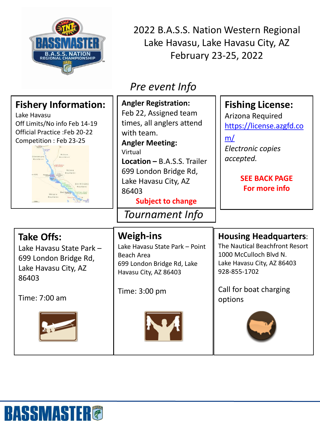

**BASSMASTER®** 

2022 B.A.S.S. Nation Western Regional Lake Havasu, Lake Havasu City, AZ February 23-25, 2022

## *Pre event Info*

| <b>Fishery Information:</b><br>Lake Havasu<br>Off Limits/No info Feb 14-19<br><b>Official Practice: Feb 20-22</b><br>Competition: Feb 23-25<br>Mohaxe<br>Mountains<br>Mountains<br>Monave<br>Mountains<br>Hayany a<br>Whingis<br>Mountains | <b>Angler Registration:</b><br>Feb 22, Assigned team<br>times, all anglers attend<br>with team.<br><b>Angler Meeting:</b><br>Virtual<br><b>Location - B.A.S.S. Trailer</b><br>699 London Bridge Rd,<br>Lake Havasu City, AZ<br>86403<br><b>Subject to change</b><br>Tournament Info | <b>Fishing License:</b><br>Arizona Required<br>https://license.azgfd.co<br>m/<br>Electronic copies<br>accepted.<br><b>SEE BACK PAGE</b><br>For more info                    |
|--------------------------------------------------------------------------------------------------------------------------------------------------------------------------------------------------------------------------------------------|-------------------------------------------------------------------------------------------------------------------------------------------------------------------------------------------------------------------------------------------------------------------------------------|-----------------------------------------------------------------------------------------------------------------------------------------------------------------------------|
| <b>Take Offs:</b><br>Lake Havasu State Park -<br>699 London Bridge Rd,<br>Lake Havasu City, AZ<br>86403<br>Time: 7:00 am                                                                                                                   | <b>Weigh-ins</b><br>Lake Havasu State Park - Point<br>Beach Area<br>699 London Bridge Rd, Lake<br>Havasu City, AZ 86403<br>Time: 3:00 pm                                                                                                                                            | <b>Housing Headquarters:</b><br>The Nautical Beachfront Resort<br>1000 McCulloch Blvd N.<br>Lake Havasu City, AZ 86403<br>928-855-1702<br>Call for boat charging<br>options |